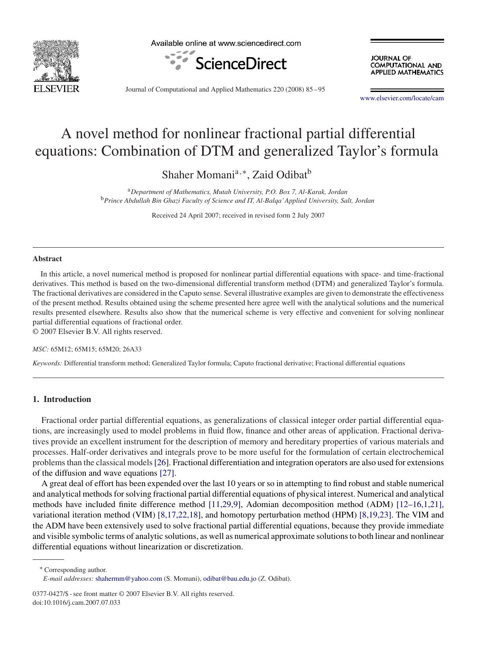

Available online at www.sciencedirect.com



**JOURNAL OF COMPUTATIONAL AND APPLIED MATHEMATICS** 

Journal of Computational and Applied Mathematics 220 (2008) 85 –95

www.elsevier.com/locate/cam

# A novel method for nonlinear fractional partial differential equations: Combination of DTM and generalized Taylor's formula

Shaher Momani<sup>a,∗</sup>, Zaid Odibat<sup>b</sup>

<sup>a</sup>*Department of Mathematics, Mutah University, P.O. Box 7, Al-Karak, Jordan* <sup>b</sup>*Prince Abdullah Bin Ghazi Faculty of Science and IT, Al-Balqa'Applied University, Salt, Jordan*

Received 24 April 2007; received in revised form 2 July 2007

#### **Abstract**

In this article, a novel numerical method is proposed for nonlinear partial differential equations with space- and time-fractional derivatives. This method is based on the two-dimensional differential transform method (DTM) and generalized Taylor's formula. The fractional derivatives are considered in the Caputo sense. Several illustrative examples are given to demonstrate the effectiveness of the present method. Results obtained using the scheme presented here agree well with the analytical solutions and the numerical results presented elsewhere. Results also show that the numerical scheme is very effective and convenient for solving nonlinear partial differential equations of fractional order.

© 2007 Elsevier B.V. All rights reserved.

*MSC:* 65M12; 65M15; 65M20; 26A33

*Keywords:* Differential transform method; Generalized Taylor formula; Caputo fractional derivative; Fractional differential equations

### **1. Introduction**

Fractional order partial differential equations, as generalizations of classical integer order partial differential equations, are increasingly used to model problems in fluid flow, finance and other areas of application. Fractional derivatives provide an excellent instrument for the description of memory and hereditary properties of various materials and processes. Half-order derivatives and integrals prove to be more useful for the formulation of certain electrochemical problems than the classical models[26]. Fractional differentiation and integration operators are also used for extensions of the diffusion and wave equations [27].

A great deal of effort has been expended over the last 10 years or so in attempting to find robust and stable numerical and analytical methods for solving fractional partial differential equations of physical interest. Numerical and analytical methods have included finite difference method [11,29,9], Adomian decomposition method (ADM) [12–16,1,21], variational iteration method (VIM) [8,17,22,18], and homotopy perturbation method (HPM) [8,19,23]. The VIM and the ADM have been extensively used to solve fractional partial differential equations, because they provide immediate and visible symbolic terms of analytic solutions, as well as numerical approximate solutions to both linear and nonlinear differential equations without linearization or discretization.

<sup>∗</sup> Corresponding author.

0377-0427/\$ - see front matter © 2007 Elsevier B.V. All rights reserved. doi:10.1016/j.cam.2007.07.033

*E-mail addresses:* shahermm@yahoo.com (S. Momani), odibat@bau.edu.jo (Z. Odibat).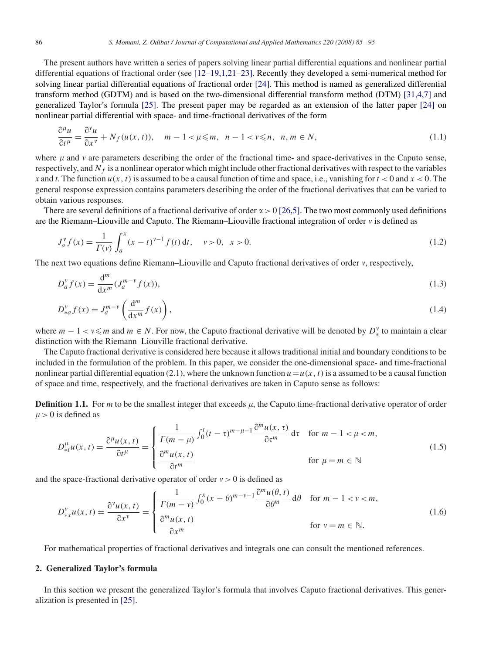The present authors have written a series of papers solving linear partial differential equations and nonlinear partial differential equations of fractional order (see [12–19,1,21–23]. Recently they developed a semi-numerical method for solving linear partial differential equations of fractional order [24]. This method is named as generalized differential transform method (GDTM) and is based on the two-dimensional differential transform method (DTM) [31,4,7] and generalized Taylor's formula [25]. The present paper may be regarded as an extension of the latter paper [24] on nonlinear partial differential with space- and time-fractional derivatives of the form

$$
\frac{\partial^{\mu} u}{\partial t^{\mu}} = \frac{\partial^{\nu} u}{\partial x^{\nu}} + N_f(u(x, t)), \quad m - 1 < \mu \leq m, \quad n - 1 < \nu \leq n, \quad n, m \in N,
$$
\n(1.1)

where  $\mu$  and  $\nu$  are parameters describing the order of the fractional time- and space-derivatives in the Caputo sense, respectively, and  $N_f$  is a nonlinear operator which might include other fractional derivatives with respect to the variables *x* and *t*. The function  $u(x, t)$  is assumed to be a causal function of time and space, i.e., vanishing for  $t < 0$  and  $x < 0$ . The general response expression contains parameters describing the order of the fractional derivatives that can be varied to obtain various responses.

There are several definitions of a fractional derivative of order  $\alpha > 0$  [26,5]. The two most commonly used definitions are the Riemann–Liouville and Caputo. The Riemann–Liouville fractional integration of order  $v$  is defined as

$$
J_a^{\nu} f(x) = \frac{1}{\Gamma(\nu)} \int_a^x (x - t)^{\nu - 1} f(t) dt, \quad \nu > 0, \quad x > 0.
$$
 (1.2)

The next two equations define Riemann–Liouville and Caputo fractional derivatives of order v, respectively,

$$
D_a^{\nu} f(x) = \frac{d^m}{dx^m} (J_a^{m-\nu} f(x)),
$$
\n(1.3)

$$
D_{*a}^{\nu} f(x) = J_a^{m-\nu} \left( \frac{\mathrm{d}^m}{\mathrm{d}x^m} f(x) \right),\tag{1.4}
$$

where  $m-1 < v \le m$  and  $m \in N$ . For now, the Caputo fractional derivative will be denoted by  $D_*^v$  to maintain a clear distinction with the Riemann–Liouville fractional derivative.

The Caputo fractional derivative is considered here because it allows traditional initial and boundary conditions to be included in the formulation of the problem. In this paper, we consider the one-dimensional space- and time-fractional nonlinear partial differential equation (2.1), where the unknown function  $u=u(x, t)$  is a assumed to be a causal function of space and time, respectively, and the fractional derivatives are taken in Caputo sense as follows:

**Definition 1.1.** For *m* to be the smallest integer that exceeds  $\mu$ , the Caputo time-fractional derivative operator of order  $\mu$  > 0 is defined as

$$
D_{\ast t}^{\mu}u(x,t) = \frac{\partial^{\mu}u(x,t)}{\partial t^{\mu}} = \begin{cases} \frac{1}{\Gamma(m-\mu)} \int_{0}^{t} (t-\tau)^{m-\mu-1} \frac{\partial^{m}u(x,\tau)}{\partial \tau^{m}} d\tau & \text{for } m-1 < \mu < m, \\ \frac{\partial^{m}u(x,t)}{\partial t^{m}} & \text{for } \mu = m \in \mathbb{N} \end{cases}
$$
(1.5)

and the space-fractional derivative operator of order  $v > 0$  is defined as

$$
D_{\ast x}^{\nu} u(x,t) = \frac{\partial^{\nu} u(x,t)}{\partial x^{\nu}} = \begin{cases} \frac{1}{\Gamma(m-\nu)} \int_{0}^{x} (x-\theta)^{m-\nu-1} \frac{\partial^{m} u(\theta,t)}{\partial \theta^{m}} d\theta & \text{for } m-1 < \nu < m, \\ \frac{\partial^{m} u(x,t)}{\partial x^{m}} & \text{for } \nu = m \in \mathbb{N}. \end{cases}
$$
(1.6)

For mathematical properties of fractional derivatives and integrals one can consult the mentioned references.

### **2. Generalized Taylor's formula**

In this section we present the generalized Taylor's formula that involves Caputo fractional derivatives. This generalization is presented in [25].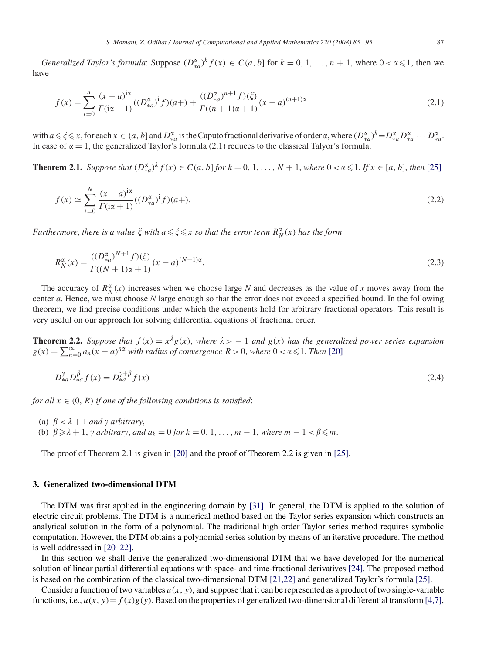*Generalized Taylor's formula*: Suppose  $(D_{*a}^{\alpha})^k f(x) \in C(a, b]$  for  $k = 0, 1, ..., n + 1$ , where  $0 < \alpha \leq 1$ , then we have

$$
f(x) = \sum_{i=0}^{n} \frac{(x-a)^{i\alpha}}{\Gamma(i\alpha+1)} ((D_{*a}^{\alpha})^{i} f)(a+) + \frac{((D_{*a}^{\alpha})^{n+1} f)(\xi)}{\Gamma((n+1)\alpha+1)} (x-a)^{(n+1)\alpha}
$$
(2.1)

with  $a \le \xi \le x$ , for each  $x \in (a, b]$  and  $D_{*a}^{\alpha}$  is the Caputo fractional derivative of order  $\alpha$ , where  $(D_{*a}^{\alpha})^k = D_{*a}^{\alpha} D_{*a}^{\alpha} \cdots D_{*a}^{\alpha}$ . In case of  $\alpha = 1$ , the generalized Taylor's formula (2.1) reduces to the classical Talyor's formula.

**Theorem 2.1.** *Suppose that*  $(D_{*a}^{\alpha})^k f(x) \in C(a, b]$  *for*  $k = 0, 1, ..., N + 1$ , *where*  $0 < \alpha \le 1$ *. If*  $x \in [a, b]$ *, then* [25]

$$
f(x) \simeq \sum_{i=0}^{N} \frac{(x-a)^{i\alpha}}{\Gamma(i\alpha+1)} ((D_{*a}^{\alpha})^{i} f)(a+).
$$
 (2.2)

Furthermore, there is a value  $\xi$  with  $a \leq \xi \leq x$  so that the error term  $R_N^{\alpha}(x)$  has the form

$$
R_N^{\alpha}(x) = \frac{((D_{*a}^{\alpha})^{N+1} f)(\zeta)}{\Gamma((N+1)\alpha+1)}(x-a)^{(N+1)\alpha}.
$$
\n(2.3)

The accuracy of  $R_N^{\alpha}(x)$  increases when we choose large *N* and decreases as the value of *x* moves away from the center *a*. Hence, we must choose *N* large enough so that the error does not exceed a specified bound. In the following theorem, we find precise conditions under which the exponents hold for arbitrary fractional operators. This result is very useful on our approach for solving differential equations of fractional order.

**Theorem 2.2.** Suppose that  $f(x) = x^{\lambda}g(x)$ , where  $\lambda > -1$  and  $g(x)$  has the generalized power series expansion  $g(x) = \sum_{n=0}^{\infty} a_n (x - a)^{n\alpha}$  with radius of convergence  $R > 0$ , where  $0 < \alpha \leq 1$ . Then [20]

$$
D_{*a}^{\gamma} D_{*a}^{\beta} f(x) = D_{*a}^{\gamma + \beta} f(x)
$$
\n(2.4)

*for all*  $x \in (0, R)$  *if one of the following conditions is satisfied:* 

- (a)  $\beta < \lambda + 1$  *and*  $\gamma$  *arbitrary*,
- (b)  $\beta \geq \lambda + 1$ ,  $\gamma$  arbitrary, and  $a_k = 0$  for  $k = 0, 1, \ldots, m 1$ , where  $m 1 < \beta \leq m$ .

The proof of Theorem 2.1 is given in [20] and the proof of Theorem 2.2 is given in [25].

#### **3. Generalized two-dimensional DTM**

The DTM was first applied in the engineering domain by [31]. In general, the DTM is applied to the solution of electric circuit problems. The DTM is a numerical method based on the Taylor series expansion which constructs an analytical solution in the form of a polynomial. The traditional high order Taylor series method requires symbolic computation. However, the DTM obtains a polynomial series solution by means of an iterative procedure. The method is well addressed in [20–22].

In this section we shall derive the generalized two-dimensional DTM that we have developed for the numerical solution of linear partial differential equations with space- and time-fractional derivatives [24]. The proposed method is based on the combination of the classical two-dimensional DTM [21,22] and generalized Taylor's formula [25].

Consider a function of two variables  $u(x, y)$ , and suppose that it can be represented as a product of two single-variable functions, i.e.,  $u(x, y) = f(x)g(y)$ . Based on the properties of generalized two-dimensional differential transform [4,7],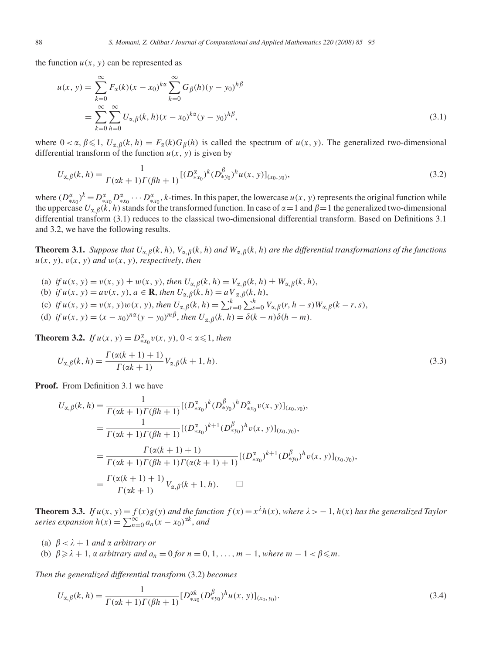the function  $u(x, y)$  can be represented as

$$
u(x, y) = \sum_{k=0}^{\infty} F_{\alpha}(k)(x - x_0)^{k\alpha} \sum_{h=0}^{\infty} G_{\beta}(h)(y - y_0)^{h\beta}
$$
  
= 
$$
\sum_{k=0}^{\infty} \sum_{h=0}^{\infty} U_{\alpha, \beta}(k, h)(x - x_0)^{k\alpha}(y - y_0)^{h\beta},
$$
 (3.1)

where  $0 < \alpha$ ,  $\beta \leq 1$ ,  $U_{\alpha,\beta}(k, h) = F_{\alpha}(k)G_{\beta}(h)$  is called the spectrum of  $u(x, y)$ . The generalized two-dimensional differential transform of the function  $u(x, y)$  is given by

$$
U_{\alpha,\beta}(k,h) = \frac{1}{\Gamma(\alpha k+1)\Gamma(\beta h+1)} [(D_{\ast x_0}^{\alpha})^k (D_{\ast y_0}^{\beta})^h u(x,y)]_{(x_0,y_0)},
$$
\n(3.2)

where  $(D_{\ast x_0}^{\alpha})^k = D_{\ast x_0}^{\alpha} D_{\ast x_0}^{\alpha} \cdots D_{\ast x_0}^{\alpha}$ , k-times. In this paper, the lowercase  $u(x, y)$  represents the original function while the uppercase  $U_{\alpha,\beta}(k, h)$  stands for the transformed function. In case of  $\alpha = 1$  and  $\beta = 1$  the generalized two-dimensional differential transform (3.1) reduces to the classical two-dimensional differential transform. Based on Definitions 3.1 and 3.2, we have the following results.

**Theorem 3.1.** *Suppose that*  $U_{\alpha,\beta}(k, h)$ ,  $V_{\alpha,\beta}(k, h)$  *and*  $W_{\alpha,\beta}(k, h)$  *are the differential transformations of the functions*  $u(x, y)$ ,  $v(x, y)$  *and*  $w(x, y)$ , *respectively*, *then* 

- (a) *if*  $u(x, y) = v(x, y) \pm w(x, y)$ , *then*  $U_{\alpha, \beta}(k, h) = V_{\alpha, \beta}(k, h) \pm W_{\alpha, \beta}(k, h)$ ,
- (b) if  $u(x, y) = av(x, y)$ ,  $a \in \mathbb{R}$ , then  $U_{\alpha, \beta}(k, h) = aV_{\alpha, \beta}(k, h)$ ,
- (c) if  $u(x, y) = v(x, y)w(x, y)$ , then  $U_{\alpha, \beta}(k, h) = \sum_{r=0}^{k} \sum_{s=0}^{h} V_{\alpha, \beta}(r, h s)W_{\alpha, \beta}(k r, s)$ ,
- (d) if  $u(x, y) = (x x_0)^{n\alpha} (y y_0)^{m\beta}$ , then  $U_{\alpha, \beta}(k, h) = \delta(k n)\delta(h m)$ .

**Theorem 3.2.** *If*  $u(x, y) = D_{*x_0}^{\alpha} v(x, y), 0 < \alpha \le 1$ , *then* 

$$
U_{\alpha,\beta}(k,h) = \frac{\Gamma(\alpha(k+1)+1)}{\Gamma(\alpha k+1)} V_{\alpha,\beta}(k+1,h).
$$
\n(3.3)

**Proof.** From Definition 3.1 we have

$$
U_{\alpha,\beta}(k,h) = \frac{1}{\Gamma(\alpha k+1)\Gamma(\beta h+1)}[(D_{*x_0}^{\alpha})^k(D_{*y_0}^{\beta})^h D_{*x_0}^{\alpha} v(x, y)]_{(x_0, y_0)},
$$
  
\n
$$
= \frac{1}{\Gamma(\alpha k+1)\Gamma(\beta h+1)}[(D_{*x_0}^{\alpha})^{k+1}(D_{*y_0}^{\beta})^h v(x, y)]_{(x_0, y_0)},
$$
  
\n
$$
= \frac{\Gamma(\alpha (k+1)+1)}{\Gamma(\alpha k+1)\Gamma(\beta h+1)\Gamma(\alpha (k+1)+1)}[(D_{*x_0}^{\alpha})^{k+1}(D_{*y_0}^{\beta})^h v(x, y)]_{(x_0, y_0)},
$$
  
\n
$$
= \frac{\Gamma(\alpha (k+1)+1)}{\Gamma(\alpha k+1)}V_{\alpha,\beta}(k+1, h). \square
$$

**Theorem 3.3.** If  $u(x, y) = f(x)g(y)$  and the function  $f(x) = x^{\lambda}h(x)$ , where  $\lambda > -1$ ,  $h(x)$  has the generalized Taylor *series expansion*  $h(x) = \sum_{n=0}^{\infty} a_n(x - x_0)^{\alpha k}$ , *and* 

- (a)  $\beta < \lambda + 1$  *and*  $\alpha$  *arbitrary or*
- (b)  $\beta \geq \lambda + 1$ ,  $\alpha$  arbitrary and  $a_n = 0$  for  $n = 0, 1, \ldots, m 1$ , where  $m 1 < \beta \leq m$ .

*Then the generalized differential transform* (3.2) *becomes*

$$
U_{\alpha,\beta}(k,h) = \frac{1}{\Gamma(\alpha k + 1)\Gamma(\beta h + 1)} [D_{\ast x_0}^{\alpha k} (D_{\ast y_0}^{\beta})^h u(x, y)]_{(x_0, y_0)}.
$$
\n(3.4)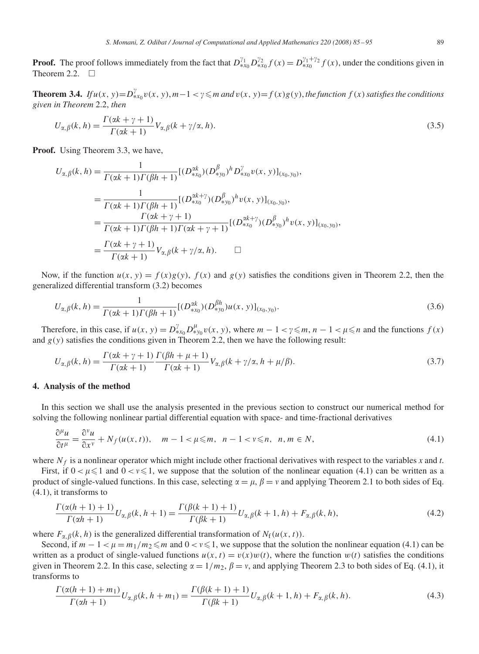**Proof.** The proof follows immediately from the fact that  $D_{*x_0}^{\gamma_1}D_{*x_0}^{\gamma_2}f(x) = D_{*x_0}^{\gamma_1+\gamma_2}f(x)$ , under the conditions given in Theorem 2.2.  $\square$ 

**Theorem 3.4.** *If*  $u(x, y) = D_{*x_0}^y v(x, y)$ ,  $m-1 < y \le m$  and  $v(x, y) = f(x)g(y)$ , the function  $f(x)$  satisfies the conditions *given in Theorem* 2.2, *then*

$$
U_{\alpha,\beta}(k,h) = \frac{\Gamma(\alpha k + \gamma + 1)}{\Gamma(\alpha k + 1)} V_{\alpha,\beta}(k + \gamma/\alpha, h).
$$
\n(3.5)

**Proof.** Using Theorem 3.3, we have,

$$
U_{\alpha,\beta}(k,h) = \frac{1}{\Gamma(\alpha k+1)\Gamma(\beta h+1)}[(D_{*x_0}^{\alpha k})(D_{*y_0}^{\beta})^h D_{*x_0}^{\gamma} v(x, y)]_{(x_0, y_0)},
$$
  
\n
$$
= \frac{1}{\Gamma(\alpha k+1)\Gamma(\beta h+1)}[(D_{*x_0}^{\alpha k+\gamma})(D_{*y_0}^{\beta})^h v(x, y)]_{(x_0, y_0)},
$$
  
\n
$$
= \frac{\Gamma(\alpha k+\gamma+1)}{\Gamma(\alpha k+1)\Gamma(\beta h+1)\Gamma(\alpha k+\gamma+1)}[(D_{*x_0}^{\alpha k+\gamma})(D_{*y_0}^{\beta})^h v(x, y)]_{(x_0, y_0)}
$$
  
\n
$$
= \frac{\Gamma(\alpha k+\gamma+1)}{\Gamma(\alpha k+1)}V_{\alpha,\beta}(k+\gamma/\alpha, h). \square
$$

Now, if the function  $u(x, y) = f(x)g(y)$ ,  $f(x)$  and  $g(y)$  satisfies the conditions given in Theorem 2.2, then the generalized differential transform (3.2) becomes

$$
U_{\alpha,\beta}(k,h) = \frac{1}{\Gamma(\alpha k+1)\Gamma(\beta h+1)} [(D_{*x_0}^{\alpha k})(D_{*y_0}^{\beta h})u(x,y)]_{(x_0,y_0)}.
$$
\n(3.6)

,

Therefore, in this case, if  $u(x, y) = D_{x_0}^{\gamma} D_{xy_0}^{\mu} v(x, y)$ , where  $m - 1 < \gamma \leq m, n - 1 < \mu \leq n$  and the functions  $f(x)$ and  $g(y)$  satisfies the conditions given in Theorem 2.2, then we have the following result:

$$
U_{\alpha,\beta}(k,h) = \frac{\Gamma(\alpha k + \gamma + 1)}{\Gamma(\alpha k + 1)} \frac{\Gamma(\beta h + \mu + 1)}{\Gamma(\alpha k + 1)} V_{\alpha,\beta}(k + \gamma/\alpha, h + \mu/\beta).
$$
\n(3.7)

# **4. Analysis of the method**

In this section we shall use the analysis presented in the previous section to construct our numerical method for solving the following nonlinear partial differential equation with space- and time-fractional derivatives

$$
\frac{\partial^{\mu} u}{\partial t^{\mu}} = \frac{\partial^{\nu} u}{\partial x^{\nu}} + N_f(u(x, t)), \quad m - 1 < \mu \leqslant m, \quad n - 1 < \nu \leqslant n, \quad n, m \in N,
$$
\n(4.1)

where  $N_f$  is a nonlinear operator which might include other fractional derivatives with respect to the variables *x* and *t*.

First, if  $0 < \mu \leq 1$  and  $0 < \nu \leq 1$ , we suppose that the solution of the nonlinear equation (4.1) can be written as a product of single-valued functions. In this case, selecting  $\alpha = \mu$ ,  $\beta = \nu$  and applying Theorem 2.1 to both sides of Eq. (4.1), it transforms to

$$
\frac{\Gamma(\alpha(h+1)+1)}{\Gamma(\alpha h+1)}U_{\alpha,\beta}(k,h+1) = \frac{\Gamma(\beta(k+1)+1)}{\Gamma(\beta k+1)}U_{\alpha,\beta}(k+1,h) + F_{\alpha,\beta}(k,h),\tag{4.2}
$$

where  $F_{\alpha,\beta}(k, h)$  is the generalized differential transformation of  $N_f(u(x, t))$ .

Second, if  $m - 1 < \mu = m_1/m_2 \le m$  and  $0 < \nu \le 1$ , we suppose that the solution the nonlinear equation (4.1) can be written as a product of single-valued functions  $u(x, t) = v(x)w(t)$ , where the function  $w(t)$  satisfies the conditions given in Theorem 2.2. In this case, selecting  $\alpha = 1/m_2$ ,  $\beta = v$ , and applying Theorem 2.3 to both sides of Eq. (4.1), it transforms to

$$
\frac{\Gamma(\alpha(h+1)+m_1)}{\Gamma(\alpha h+1)}U_{\alpha,\beta}(k,h+m_1) = \frac{\Gamma(\beta(k+1)+1)}{\Gamma(\beta k+1)}U_{\alpha,\beta}(k+1,h) + F_{\alpha,\beta}(k,h). \tag{4.3}
$$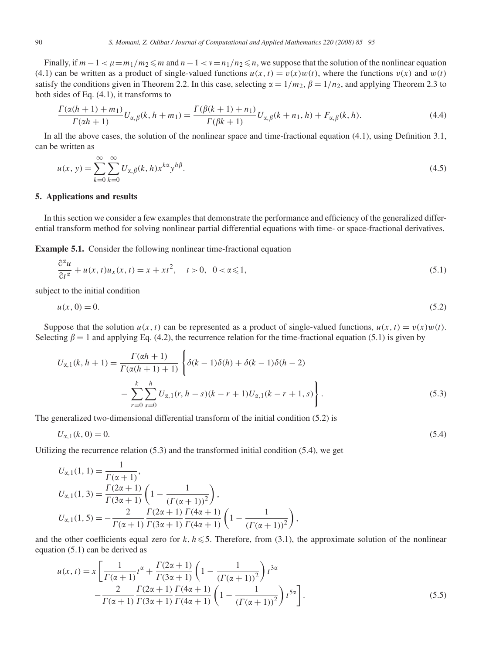Finally, if  $m-1 < \mu = m_1/m_2 \le m$  and  $n-1 < \nu = n_1/n_2 \le n$ , we suppose that the solution of the nonlinear equation (4.1) can be written as a product of single-valued functions  $u(x, t) = v(x)w(t)$ , where the functions  $v(x)$  and  $w(t)$ satisfy the conditions given in Theorem 2.2. In this case, selecting  $\alpha = 1/m_2$ ,  $\beta = 1/n_2$ , and applying Theorem 2.3 to both sides of Eq. (4.1), it transforms to

$$
\frac{\Gamma(\alpha(h+1)+m_1)}{\Gamma(\alpha h+1)}U_{\alpha,\beta}(k,h+m_1) = \frac{\Gamma(\beta(k+1)+n_1)}{\Gamma(\beta k+1)}U_{\alpha,\beta}(k+n_1,h) + F_{\alpha,\beta}(k,h). \tag{4.4}
$$

In all the above cases, the solution of the nonlinear space and time-fractional equation (4.1), using Definition 3.1, can be written as

$$
u(x, y) = \sum_{k=0}^{\infty} \sum_{h=0}^{\infty} U_{\alpha, \beta}(k, h) x^{k\alpha} y^{h\beta}.
$$
\n(4.5)

# **5. Applications and results**

In this section we consider a few examples that demonstrate the performance and efficiency of the generalized differential transform method for solving nonlinear partial differential equations with time- or space-fractional derivatives.

**Example 5.1.** Consider the following nonlinear time-fractional equation

$$
\frac{\partial^{\alpha} u}{\partial t^{\alpha}} + u(x, t)u_x(x, t) = x + xt^2, \quad t > 0, \quad 0 < \alpha \le 1,
$$
\n
$$
(5.1)
$$

subject to the initial condition

$$
u(x, 0) = 0.\t(5.2)
$$

Suppose that the solution  $u(x, t)$  can be represented as a product of single-valued functions,  $u(x, t) = v(x)w(t)$ . Selecting  $\beta = 1$  and applying Eq. (4.2), the recurrence relation for the time-fractional equation (5.1) is given by

$$
U_{\alpha,1}(k, h+1) = \frac{\Gamma(\alpha h+1)}{\Gamma(\alpha(h+1)+1)} \left\{ \delta(k-1)\delta(h) + \delta(k-1)\delta(h-2) - \sum_{r=0}^{k} \sum_{s=0}^{h} U_{\alpha,1}(r, h-s)(k-r+1)U_{\alpha,1}(k-r+1, s) \right\}.
$$
\n(5.3)

The generalized two-dimensional differential transform of the initial condition (5.2) is

$$
U_{\alpha,1}(k,0) = 0.\tag{5.4}
$$

Utilizing the recurrence relation  $(5.3)$  and the transformed initial condition  $(5.4)$ , we get

$$
U_{\alpha,1}(1,1) = \frac{1}{\Gamma(\alpha+1)},
$$
  
\n
$$
U_{\alpha,1}(1,3) = \frac{\Gamma(2\alpha+1)}{\Gamma(3\alpha+1)} \left(1 - \frac{1}{(\Gamma(\alpha+1))^2}\right),
$$
  
\n
$$
U_{\alpha,1}(1,5) = -\frac{2}{\Gamma(\alpha+1)} \frac{\Gamma(2\alpha+1)}{\Gamma(3\alpha+1)} \frac{\Gamma(4\alpha+1)}{\Gamma(4\alpha+1)} \left(1 - \frac{1}{(\Gamma(\alpha+1))^2}\right),
$$

and the other coefficients equal zero for  $k, h \le 5$ . Therefore, from (3.1), the approximate solution of the nonlinear equation (5.1) can be derived as

$$
u(x,t) = x \left[ \frac{1}{\Gamma(\alpha+1)} t^{\alpha} + \frac{\Gamma(2\alpha+1)}{\Gamma(3\alpha+1)} \left( 1 - \frac{1}{(\Gamma(\alpha+1))^2} \right) t^{3\alpha} - \frac{2}{\Gamma(\alpha+1)} \frac{\Gamma(2\alpha+1)}{\Gamma(3\alpha+1)} \frac{\Gamma(4\alpha+1)}{\Gamma(4\alpha+1)} \left( 1 - \frac{1}{(\Gamma(\alpha+1))^2} \right) t^{5\alpha} \right].
$$
\n(5.5)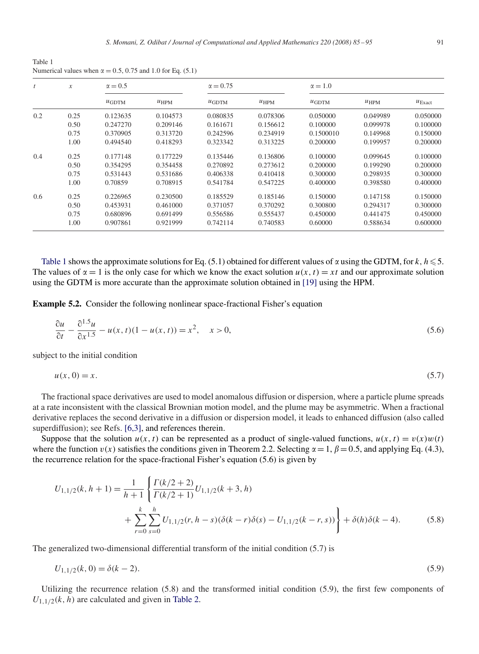Table 1 Numerical values when  $\alpha = 0.5, 0.75$  and 1.0 for Eq. (5.1)

| t   | $\boldsymbol{x}$ | $\alpha = 0.5$ |           | $\alpha = 0.75$ |           | $\alpha = 1.0$ |           |                    |
|-----|------------------|----------------|-----------|-----------------|-----------|----------------|-----------|--------------------|
|     |                  | $\mu$ GDTM     | $u_{HPM}$ | $\mu$ GDTM      | $u_{HPM}$ | $\mu$ GDTM     | $u_{HPM}$ | $U_{\text{Exact}}$ |
| 0.2 | 0.25             | 0.123635       | 0.104573  | 0.080835        | 0.078306  | 0.050000       | 0.049989  | 0.050000           |
|     | 0.50             | 0.247270       | 0.209146  | 0.161671        | 0.156612  | 0.100000       | 0.099978  | 0.100000           |
|     | 0.75             | 0.370905       | 0.313720  | 0.242596        | 0.234919  | 0.1500010      | 0.149968  | 0.150000           |
|     | 1.00             | 0.494540       | 0.418293  | 0.323342        | 0.313225  | 0.200000       | 0.199957  | 0.200000           |
| 0.4 | 0.25             | 0.177148       | 0.177229  | 0.135446        | 0.136806  | 0.100000       | 0.099645  | 0.100000           |
|     | 0.50             | 0.354295       | 0.354458  | 0.270892        | 0.273612  | 0.200000       | 0.199290  | 0.200000           |
|     | 0.75             | 0.531443       | 0.531686  | 0.406338        | 0.410418  | 0.300000       | 0.298935  | 0.300000           |
|     | 1.00             | 0.70859        | 0.708915  | 0.541784        | 0.547225  | 0.400000       | 0.398580  | 0.400000           |
| 0.6 | 0.25             | 0.226965       | 0.230500  | 0.185529        | 0.185146  | 0.150000       | 0.147158  | 0.150000           |
|     | 0.50             | 0.453931       | 0.461000  | 0.371057        | 0.370292  | 0.300800       | 0.294317  | 0.300000           |
|     | 0.75             | 0.680896       | 0.691499  | 0.556586        | 0.555437  | 0.450000       | 0.441475  | 0.450000           |
|     | 1.00             | 0.907861       | 0.921999  | 0.742114        | 0.740583  | 0.60000        | 0.588634  | 0.600000           |

Table 1 shows the approximate solutions for Eq. (5.1) obtained for different values of  $\alpha$  using the GDTM, for  $k, h \leq 5$ . The values of  $\alpha = 1$  is the only case for which we know the exact solution  $u(x, t) = xt$  and our approximate solution using the GDTM is more accurate than the approximate solution obtained in [19] using the HPM.

**Example 5.2.** Consider the following nonlinear space-fractional Fisher's equation

$$
\frac{\partial u}{\partial t} - \frac{\partial^{1.5} u}{\partial x^{1.5}} - u(x, t)(1 - u(x, t)) = x^2, \quad x > 0,
$$
\n(5.6)

subject to the initial condition

$$
u(x,0) = x.\tag{5.7}
$$

The fractional space derivatives are used to model anomalous diffusion or dispersion, where a particle plume spreads at a rate inconsistent with the classical Brownian motion model, and the plume may be asymmetric. When a fractional derivative replaces the second derivative in a diffusion or dispersion model, it leads to enhanced diffusion (also called superdiffusion); see Refs. [6,3], and references therein.

Suppose that the solution  $u(x, t)$  can be represented as a product of single-valued functions,  $u(x, t) = v(x)w(t)$ where the function  $v(x)$  satisfies the conditions given in Theorem 2.2. Selecting  $\alpha = 1$ ,  $\beta = 0.5$ , and applying Eq. (4.3), the recurrence relation for the space-fractional Fisher's equation (5.6) is given by

$$
U_{1,1/2}(k, h+1) = \frac{1}{h+1} \left\{ \frac{\Gamma(k/2+2)}{\Gamma(k/2+1)} U_{1,1/2}(k+3, h) + \sum_{r=0}^{k} \sum_{s=0}^{h} U_{1,1/2}(r, h-s) (\delta(k-r)\delta(s) - U_{1,1/2}(k-r, s)) \right\} + \delta(h)\delta(k-4).
$$
 (5.8)

The generalized two-dimensional differential transform of the initial condition (5.7) is

$$
U_{1,1/2}(k,0) = \delta(k-2). \tag{5.9}
$$

Utilizing the recurrence relation (5.8) and the transformed initial condition (5.9), the first few components of  $U_{1,1/2}(k, h)$  are calculated and given in Table 2.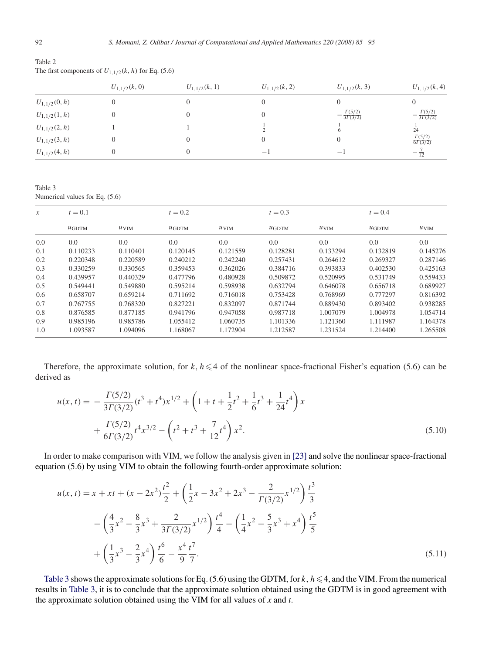Table 2 The first components of  $U_{1,1/2}(k, h)$  for Eq. (5.6)

|                   | $U_{1,1/2}(k,0)$ | $U_{1,1/2}(k, 1)$ | $U_{1,1/2}(k,2)$ | $U_{1,1/2}(k, 3)$                  | $U_{1,1/2}(k,4)$                    |  |
|-------------------|------------------|-------------------|------------------|------------------------------------|-------------------------------------|--|
| $U_{1,1/2}(0,h)$  |                  |                   |                  |                                    |                                     |  |
| $U_{1,1/2}(1,h)$  | $\overline{0}$   |                   |                  | $\frac{\Gamma(5/2)}{3\Gamma(3/2)}$ | $-\frac{\Gamma(5/2)}{3\Gamma(3/2)}$ |  |
| $U_{1,1/2}(2, h)$ |                  |                   |                  |                                    | $\frac{1}{24}$                      |  |
| $U_{1,1/2}(3,h)$  | 0                |                   |                  | $\Omega$                           | $\frac{\Gamma(5/2)}{6\Gamma(3/2)}$  |  |
| $U_{1,1/2}(4, h)$ | $\Omega$         |                   | $-1$             | $-1$                               | $-\frac{1}{12}$                     |  |

Table 3 Numerical values for Eq. (5.6)

| $\mathcal{X}$ | $t=0.1$    |                  | $t = 0.2$  |                  | $t = 0.3$  |                  | $t = 0.4$  |                  |
|---------------|------------|------------------|------------|------------------|------------|------------------|------------|------------------|
|               | $\mu$ GDTM | $u_{\text{VIM}}$ | $\mu$ GDTM | $u_{\text{VIM}}$ | $\mu$ GDTM | $u_{\text{VIM}}$ | $\mu$ GDTM | $u_{\text{VIM}}$ |
| 0.0           | 0.0        | 0.0              | 0.0        | 0.0              | 0.0        | 0.0              | 0.0        | 0.0              |
| 0.1           | 0.110233   | 0.110401         | 0.120145   | 0.121559         | 0.128281   | 0.133294         | 0.132819   | 0.145276         |
| 0.2           | 0.220348   | 0.220589         | 0.240212   | 0.242240         | 0.257431   | 0.264612         | 0.269327   | 0.287146         |
| 0.3           | 0.330259   | 0.330565         | 0.359453   | 0.362026         | 0.384716   | 0.393833         | 0.402530   | 0.425163         |
| 0.4           | 0.439957   | 0.440329         | 0.477796   | 0.480928         | 0.509872   | 0.520995         | 0.531749   | 0.559433         |
| 0.5           | 0.549441   | 0.549880         | 0.595214   | 0.598938         | 0.632794   | 0.646078         | 0.656718   | 0.689927         |
| 0.6           | 0.658707   | 0.659214         | 0.711692   | 0.716018         | 0.753428   | 0.768969         | 0.777297   | 0.816392         |
| 0.7           | 0.767755   | 0.768320         | 0.827221   | 0.832097         | 0.871744   | 0.889430         | 0.893402   | 0.938285         |
| 0.8           | 0.876585   | 0.877185         | 0.941796   | 0.947058         | 0.987718   | 1.007079         | 1.004978   | 1.054714         |
| 0.9           | 0.985196   | 0.985786         | 1.055412   | 1.060735         | 1.101336   | 1.121360         | 1.111987   | 1.164378         |
| 1.0           | 1.093587   | 1.094096         | 1.168067   | 1.172904         | 1.212587   | 1.231524         | 1.214400   | 1.265508         |

Therefore, the approximate solution, for  $k, h \leq 4$  of the nonlinear space-fractional Fisher's equation (5.6) can be derived as

$$
u(x,t) = -\frac{\Gamma(5/2)}{3\Gamma(3/2)}(t^3 + t^4)x^{1/2} + \left(1 + t + \frac{1}{2}t^2 + \frac{1}{6}t^3 + \frac{1}{24}t^4\right)x
$$
  
+ 
$$
\frac{\Gamma(5/2)}{6\Gamma(3/2)}t^4x^{3/2} - \left(t^2 + t^3 + \frac{7}{12}t^4\right)x^2.
$$
 (5.10)

In order to make comparison with VIM, we follow the analysis given in [23] and solve the nonlinear space-fractional equation (5.6) by using VIM to obtain the following fourth-order approximate solution:

$$
u(x,t) = x + xt + (x - 2x^2)\frac{t^2}{2} + \left(\frac{1}{2}x - 3x^2 + 2x^3 - \frac{2}{\Gamma(3/2)}x^{1/2}\right)\frac{t^3}{3}
$$

$$
- \left(\frac{4}{3}x^2 - \frac{8}{3}x^3 + \frac{2}{3\Gamma(3/2)}x^{1/2}\right)\frac{t^4}{4} - \left(\frac{1}{4}x^2 - \frac{5}{3}x^3 + x^4\right)\frac{t^5}{5}
$$

$$
+ \left(\frac{1}{3}x^3 - \frac{2}{3}x^4\right)\frac{t^6}{6} - \frac{x^4}{9}\frac{t^7}{7}.
$$
(5.11)

Table 3 shows the approximate solutions for Eq. (5.6) using the GDTM, for  $k, h \leq 4$ , and the VIM. From the numerical results in Table 3, it is to conclude that the approximate solution obtained using the GDTM is in good agreement with the approximate solution obtained using the VIM for all values of *x* and *t*.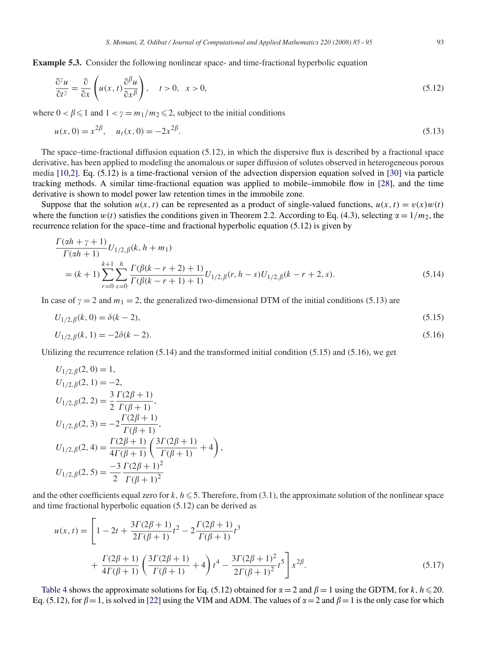**Example 5.3.** Consider the following nonlinear space- and time-fractional hyperbolic equation

$$
\frac{\partial^{\gamma} u}{\partial t^{\gamma}} = \frac{\partial}{\partial x} \left( u(x, t) \frac{\partial^{\beta} u}{\partial x^{\beta}} \right), \quad t > 0, \quad x > 0,
$$
\n(5.12)

where  $0 < \beta \leq 1$  and  $1 < \gamma = m_1/m_2 \leq 2$ , subject to the initial conditions

$$
u(x, 0) = x^{2\beta}, \quad u_t(x, 0) = -2x^{2\beta}.
$$
\n(5.13)

The space–time-fractional diffusion equation (5.12), in which the dispersive flux is described by a fractional space derivative, has been applied to modeling the anomalous or super diffusion of solutes observed in heterogeneous porous media [10,2]. Eq. (5.12) is a time-fractional version of the advection dispersion equation solved in [30] via particle tracking methods. A similar time-fractional equation was applied to mobile–immobile flow in [28], and the time derivative is shown to model power law retention times in the immobile zone.

Suppose that the solution  $u(x, t)$  can be represented as a product of single-valued functions,  $u(x, t) = v(x)w(t)$ where the function  $w(t)$  satisfies the conditions given in Theorem 2.2. According to Eq. (4.3), selecting  $\alpha = 1/m_2$ , the recurrence relation for the space–time and fractional hyperbolic equation (5.12) is given by

$$
\frac{\Gamma(\alpha h + \gamma + 1)}{\Gamma(\alpha h + 1)} U_{1/2, \beta}(k, h + m_1)
$$
\n
$$
= (k+1) \sum_{r=0}^{k+1} \sum_{s=0}^{h} \frac{\Gamma(\beta(k-r+2) + 1)}{\Gamma(\beta(k-r+1) + 1)} U_{1/2, \beta}(r, h - s) U_{1/2, \beta}(k-r+2, s). \tag{5.14}
$$

In case of  $\gamma = 2$  and  $m_1 = 2$ , the generalized two-dimensional DTM of the initial conditions (5.13) are

$$
U_{1/2,\beta}(k,0) = \delta(k-2),\tag{5.15}
$$

$$
U_{1/2,\beta}(k,1) = -2\delta(k-2). \tag{5.16}
$$

Utilizing the recurrence relation (5.14) and the transformed initial condition (5.15) and (5.16), we get

$$
U_{1/2,\beta}(2,0) = 1,
$$
  
\n
$$
U_{1/2,\beta}(2,1) = -2,
$$
  
\n
$$
U_{1/2,\beta}(2,2) = \frac{3}{2} \frac{\Gamma(2\beta + 1)}{\Gamma(\beta + 1)},
$$
  
\n
$$
U_{1/2,\beta}(2,3) = -2 \frac{\Gamma(2\beta + 1)}{\Gamma(\beta + 1)},
$$
  
\n
$$
U_{1/2,\beta}(2,4) = \frac{\Gamma(2\beta + 1)}{4\Gamma(\beta + 1)} \left(\frac{3\Gamma(2\beta + 1)}{\Gamma(\beta + 1)} + 4\right),
$$
  
\n
$$
U_{1/2,\beta}(2,5) = \frac{-3}{2} \frac{\Gamma(2\beta + 1)^2}{\Gamma(\beta + 1)^2}
$$

and the other coefficients equal zero for  $k, h \le 5$ . Therefore, from (3.1), the approximate solution of the nonlinear space and time fractional hyperbolic equation (5.12) can be derived as

$$
u(x,t) = \left[1 - 2t + \frac{3\Gamma(2\beta + 1)}{2\Gamma(\beta + 1)}t^2 - 2\frac{\Gamma(2\beta + 1)}{\Gamma(\beta + 1)}t^3 + \frac{\Gamma(2\beta + 1)}{4\Gamma(\beta + 1)}\left(\frac{3\Gamma(2\beta + 1)}{\Gamma(\beta + 1)} + 4\right)t^4 - \frac{3\Gamma(2\beta + 1)^2}{2\Gamma(\beta + 1)^2}t^5\right]x^{2\beta}.
$$
\n(5.17)

Table 4 shows the approximate solutions for Eq. (5.12) obtained for  $\alpha = 2$  and  $\beta = 1$  using the GDTM, for k,  $h \le 20$ . Eq. (5.12), for  $\beta = 1$ , is solved in [22] using the VIM and ADM. The values of  $\alpha = 2$  and  $\beta = 1$  is the only case for which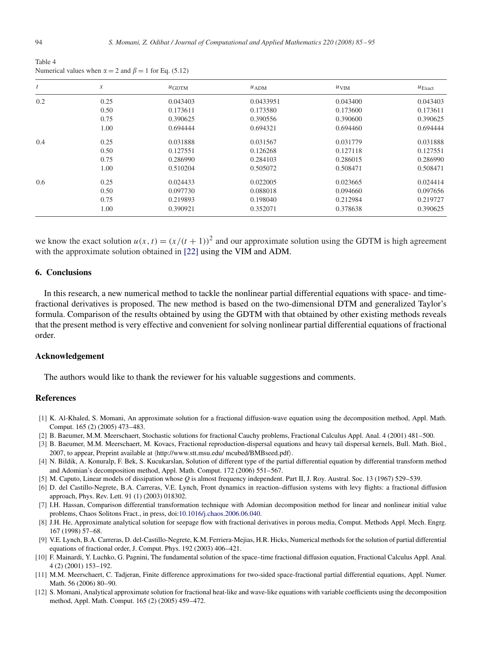| $\mathfrak{t}$ | $\boldsymbol{\mathcal{X}}$ | $\mu$ GDTM | u <sub>ADM</sub> | $u_{\text{VIM}}$ | $u_{\text{Exact}}$ |
|----------------|----------------------------|------------|------------------|------------------|--------------------|
| 0.2            | 0.25                       | 0.043403   | 0.0433951        | 0.043400         | 0.043403           |
|                | 0.50                       | 0.173611   | 0.173580         | 0.173600         | 0.173611           |
|                | 0.75                       | 0.390625   | 0.390556         | 0.390600         | 0.390625           |
|                | 1.00                       | 0.694444   | 0.694321         | 0.694460         | 0.694444           |
| 0.4            | 0.25                       | 0.031888   | 0.031567         | 0.031779         | 0.031888           |
|                | 0.50                       | 0.127551   | 0.126268         | 0.127118         | 0.127551           |
|                | 0.75                       | 0.286990   | 0.284103         | 0.286015         | 0.286990           |
|                | 1.00                       | 0.510204   | 0.505072         | 0.508471         | 0.508471           |
| 0.6            | 0.25                       | 0.024433   | 0.022005         | 0.023665         | 0.024414           |
|                | 0.50                       | 0.097730   | 0.088018         | 0.094660         | 0.097656           |
|                | 0.75                       | 0.219893   | 0.198040         | 0.212984         | 0.219727           |
|                | 1.00                       | 0.390921   | 0.352071         | 0.378638         | 0.390625           |

Table 4 Numerical values when  $\alpha = 2$  and  $\beta = 1$  for Eq. (5.12)

we know the exact solution  $u(x, t) = (x/(t+1))^2$  and our approximate solution using the GDTM is high agreement with the approximate solution obtained in [22] using the VIM and ADM.

# **6. Conclusions**

In this research, a new numerical method to tackle the nonlinear partial differential equations with space- and timefractional derivatives is proposed. The new method is based on the two-dimensional DTM and generalized Taylor's formula. Comparison of the results obtained by using the GDTM with that obtained by other existing methods reveals that the present method is very effective and convenient for solving nonlinear partial differential equations of fractional order.

#### **Acknowledgement**

The authors would like to thank the reviewer for his valuable suggestions and comments.

#### **References**

- [1] K. Al-Khaled, S. Momani, An approximate solution for a fractional diffusion-wave equation using the decomposition method, Appl. Math. Comput. 165 (2) (2005) 473–483.
- [2] B. Baeumer, M.M. Meerschaert, Stochastic solutions for fractional Cauchy problems, Fractional Calculus Appl. Anal. 4 (2001) 481–500.
- [3] B. Baeumer, M.M. Meerschaert, M. Kovacs, Fractional reproduction-dispersal equations and heavy tail dispersal kernels, Bull. Math. Biol., 2007, to appear, Preprint available at  $\langle$ http://www.stt.msu.edu/ mcubed/BMBseed.pdf $\rangle$ .
- [4] N. Bildik, A. Konuralp, F. Bek, S. Kucukarslan, Solution of different type of the partial differential equation by differential transform method and Adomian's decomposition method, Appl. Math. Comput. 172 (2006) 551–567.
- [5] M. Caputo, Linear models of dissipation whose *Q* is almost frequency independent. Part II, J. Roy. Austral. Soc. 13 (1967) 529–539.
- [6] D. del Castillo-Negrete, B.A. Carreras, V.E. Lynch, Front dynamics in reaction–diffusion systems with levy flights: a fractional diffusion approach, Phys. Rev. Lett. 91 (1) (2003) 018302.
- [7] I.H. Hassan, Comparison differential transformation technique with Adomian decomposition method for linear and nonlinear initial value problems, Chaos Solitons Fract., in press, doi:10.1016/j.chaos.2006.06.040.
- [8] J.H. He, Approximate analytical solution for seepage flow with fractional derivatives in porous media, Comput. Methods Appl. Mech. Engrg. 167 (1998) 57–68.
- [9] V.E. Lynch, B.A. Carreras, D. del-Castillo-Negrete, K.M. Ferriera-Mejias, H.R. Hicks, Numerical methods for the solution of partial differential equations of fractional order, J. Comput. Phys. 192 (2003) 406–421.
- [10] F. Mainardi, Y. Luchko, G. Pagnini, The fundamental solution of the space–time fractional diffusion equation, Fractional Calculus Appl. Anal. 4 (2) (2001) 153–192.
- [11] M.M. Meerschaert, C. Tadjeran, Finite difference approximations for two-sided space-fractional partial differential equations, Appl. Numer. Math. 56 (2006) 80–90.
- [12] S. Momani, Analytical approximate solution for fractional heat-like and wave-like equations with variable coefficients using the decomposition method, Appl. Math. Comput. 165 (2) (2005) 459–472.